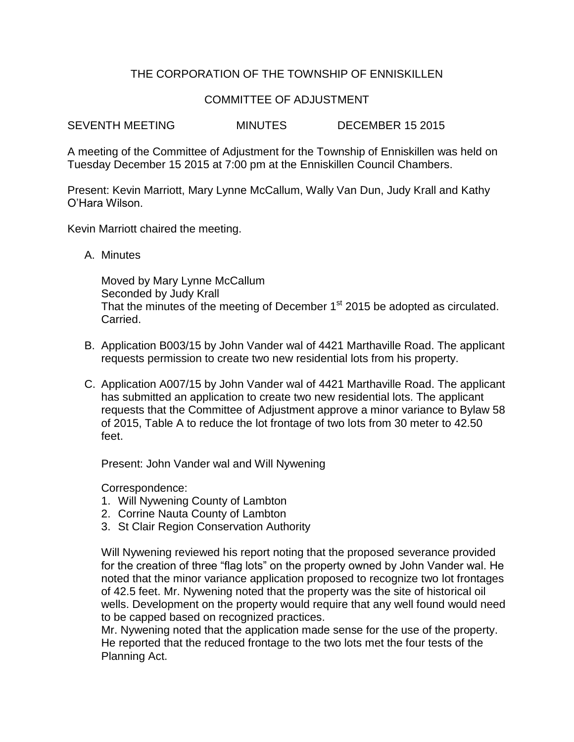## THE CORPORATION OF THE TOWNSHIP OF ENNISKILLEN

## COMMITTEE OF ADJUSTMENT

SEVENTH MEETING MINUTES DECEMBER 15 2015

A meeting of the Committee of Adjustment for the Township of Enniskillen was held on Tuesday December 15 2015 at 7:00 pm at the Enniskillen Council Chambers.

Present: Kevin Marriott, Mary Lynne McCallum, Wally Van Dun, Judy Krall and Kathy O'Hara Wilson.

Kevin Marriott chaired the meeting.

A. Minutes

Moved by Mary Lynne McCallum Seconded by Judy Krall That the minutes of the meeting of December 1<sup>st</sup> 2015 be adopted as circulated. Carried.

- B. Application B003/15 by John Vander wal of 4421 Marthaville Road. The applicant requests permission to create two new residential lots from his property.
- C. Application A007/15 by John Vander wal of 4421 Marthaville Road. The applicant has submitted an application to create two new residential lots. The applicant requests that the Committee of Adjustment approve a minor variance to Bylaw 58 of 2015, Table A to reduce the lot frontage of two lots from 30 meter to 42.50 feet.

Present: John Vander wal and Will Nywening

Correspondence:

- 1. Will Nywening County of Lambton
- 2. Corrine Nauta County of Lambton
- 3. St Clair Region Conservation Authority

Will Nywening reviewed his report noting that the proposed severance provided for the creation of three "flag lots" on the property owned by John Vander wal. He noted that the minor variance application proposed to recognize two lot frontages of 42.5 feet. Mr. Nywening noted that the property was the site of historical oil wells. Development on the property would require that any well found would need to be capped based on recognized practices.

Mr. Nywening noted that the application made sense for the use of the property. He reported that the reduced frontage to the two lots met the four tests of the Planning Act.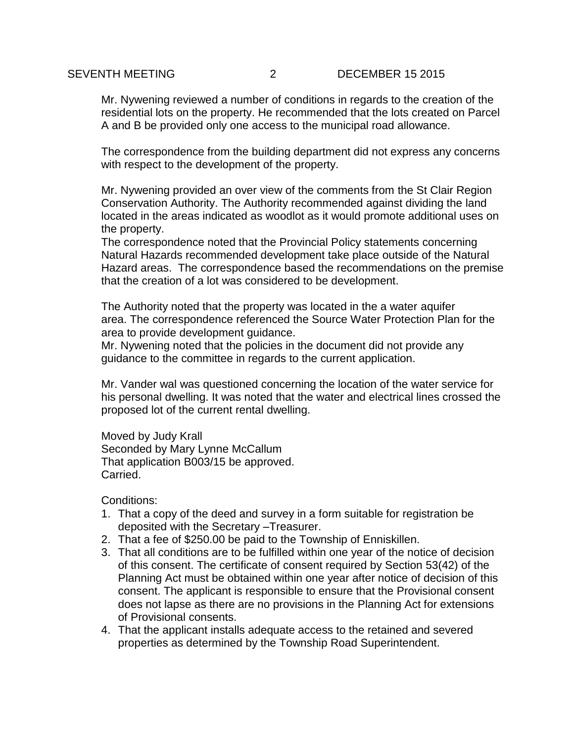Mr. Nywening reviewed a number of conditions in regards to the creation of the residential lots on the property. He recommended that the lots created on Parcel A and B be provided only one access to the municipal road allowance.

The correspondence from the building department did not express any concerns with respect to the development of the property.

Mr. Nywening provided an over view of the comments from the St Clair Region Conservation Authority. The Authority recommended against dividing the land located in the areas indicated as woodlot as it would promote additional uses on the property.

The correspondence noted that the Provincial Policy statements concerning Natural Hazards recommended development take place outside of the Natural Hazard areas. The correspondence based the recommendations on the premise that the creation of a lot was considered to be development.

The Authority noted that the property was located in the a water aquifer area. The correspondence referenced the Source Water Protection Plan for the area to provide development guidance.

Mr. Nywening noted that the policies in the document did not provide any guidance to the committee in regards to the current application.

Mr. Vander wal was questioned concerning the location of the water service for his personal dwelling. It was noted that the water and electrical lines crossed the proposed lot of the current rental dwelling.

Moved by Judy Krall Seconded by Mary Lynne McCallum That application B003/15 be approved. Carried.

Conditions:

- 1. That a copy of the deed and survey in a form suitable for registration be deposited with the Secretary –Treasurer.
- 2. That a fee of \$250.00 be paid to the Township of Enniskillen.
- 3. That all conditions are to be fulfilled within one year of the notice of decision of this consent. The certificate of consent required by Section 53(42) of the Planning Act must be obtained within one year after notice of decision of this consent. The applicant is responsible to ensure that the Provisional consent does not lapse as there are no provisions in the Planning Act for extensions of Provisional consents.
- 4. That the applicant installs adequate access to the retained and severed properties as determined by the Township Road Superintendent.